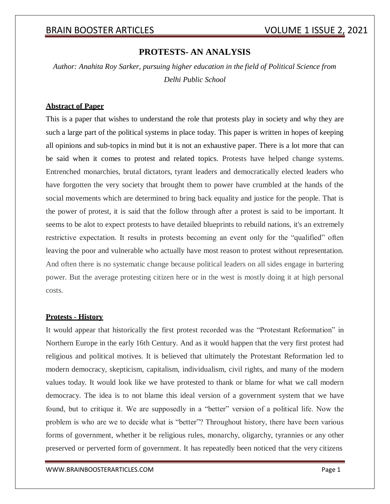## **PROTESTS- AN ANALYSIS**

*Author: Anahita Roy Sarker, pursuing higher education in the field of Political Science from Delhi Public School*

## **Abstract of Paper**

This is a paper that wishes to understand the role that protests play in society and why they are such a large part of the political systems in place today. This paper is written in hopes of keeping all opinions and sub-topics in mind but it is not an exhaustive paper. There is a lot more that can be said when it comes to protest and related topics. Protests have helped change systems. Entrenched monarchies, brutal dictators, tyrant leaders and democratically elected leaders who have forgotten the very society that brought them to power have crumbled at the hands of the social movements which are determined to bring back equality and justice for the people. That is the power of protest, it is said that the follow through after a protest is said to be important. It seems to be alot to expect protests to have detailed blueprints to rebuild nations, it's an extremely restrictive expectation. It results in protests becoming an event only for the "qualified" often leaving the poor and vulnerable who actually have most reason to protest without representation. And often there is no systematic change because political leaders on all sides engage in bartering power. But the average protesting citizen here or in the west is mostly doing it at high personal costs.

### **Protests - History**

It would appear that historically the first protest recorded was the "Protestant Reformation" in Northern Europe in the early 16th Century. And as it would happen that the very first protest had religious and political motives. It is believed that ultimately the Protestant Reformation led to modern democracy, skepticism, capitalism, individualism, civil rights, and many of the modern values today. It would look like we have protested to thank or blame for what we call modern democracy. The idea is to not blame this ideal version of a government system that we have found, but to critique it. We are supposedly in a "better" version of a political life. Now the problem is who are we to decide what is "better"? Throughout history, there have been various forms of government, whether it be religious rules, monarchy, oligarchy, tyrannies or any other preserved or perverted form of government. It has repeatedly been noticed that the very citizens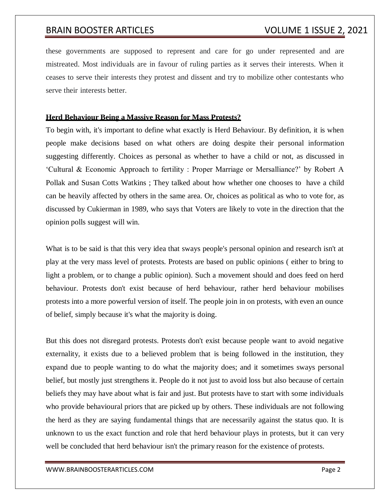these governments are supposed to represent and care for go under represented and are mistreated. Most individuals are in favour of ruling parties as it serves their interests. When it ceases to serve their interests they protest and dissent and try to mobilize other contestants who serve their interests better.

## **Herd Behaviour Being a Massive Reason for Mass Protests?**

To begin with, it's important to define what exactly is Herd Behaviour. By definition, it is when people make decisions based on what others are doing despite their personal information suggesting differently. Choices as personal as whether to have a child or not, as discussed in 'Cultural & Economic Approach to fertility : Proper Marriage or Mersalliance?' by Robert A Pollak and Susan Cotts Watkins ; They talked about how whether one chooses to have a child can be heavily affected by others in the same area. Or, choices as political as who to vote for, as discussed by Cukierman in 1989, who says that Voters are likely to vote in the direction that the opinion polls suggest will win.

What is to be said is that this very idea that sways people's personal opinion and research isn't at play at the very mass level of protests. Protests are based on public opinions ( either to bring to light a problem, or to change a public opinion). Such a movement should and does feed on herd behaviour. Protests don't exist because of herd behaviour, rather herd behaviour mobilises protests into a more powerful version of itself. The people join in on protests, with even an ounce of belief, simply because it's what the majority is doing.

But this does not disregard protests. Protests don't exist because people want to avoid negative externality, it exists due to a believed problem that is being followed in the institution, they expand due to people wanting to do what the majority does; and it sometimes sways personal belief, but mostly just strengthens it. People do it not just to avoid loss but also because of certain beliefs they may have about what is fair and just. But protests have to start with some individuals who provide behavioural priors that are picked up by others. These individuals are not following the herd as they are saying fundamental things that are necessarily against the status quo. It is unknown to us the exact function and role that herd behaviour plays in protests, but it can very well be concluded that herd behaviour isn't the primary reason for the existence of protests.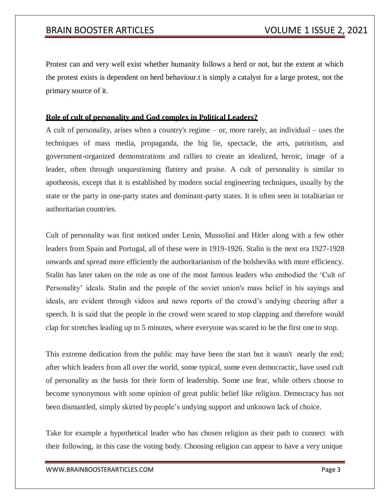Protest can and very well exist whether humanity follows a herd or not, but the extent at which the protest exists is dependent on herd behaviour.t is simply a catalyst for a large protest, not the primary source of it.

## **Role of cult of personality and God complex in Political Leaders?**

A cult of personality, arises when a country's regime – or, more rarely, an individual – uses the techniques of mass media, propaganda, the big lie, spectacle, the arts, patriotism, and government-organized demonstrations and rallies to create an idealized, heroic, image of a leader, often through unquestioning flattery and praise. A cult of personality is similar to apotheosis, except that it is established by modern social engineering techniques, usually by the state or the party in one-party states and dominant-party states. It is often seen in totalitarian or authoritarian countries.

Cult of personality was first noticed under Lenin, Mussolini and Hitler along with a few other leaders from Spain and Portugal, all of these were in 1919-1926. Stalin is the next era 1927-1928 onwards and spread more efficiently the authoritarianism of the bolsheviks with more efficiency. Stalin has later taken on the role as one of the most famous leaders who embodied the 'Cult of Personality' ideals. Stalin and the people of the soviet union's mass belief in his sayings and ideals, are evident through videos and news reports of the crowd's undying cheering after a speech. It is said that the people in the crowd were scared to stop clapping and therefore would clap for stretches leading up to 5 minutes, where everyone was scared to be the first one to stop.

This extreme dedication from the public may have been the start but it wasn't nearly the end; after which leaders from all over the world, some typical, some even democractic, have used cult of personality as the basis for their form of leadership. Some use fear, while others choose to become synonymous with some opinion of great public belief like religion. Democracy has not been dismantled, simply skirted by people's undying support and unknown lack of choice.

Take for example a hypothetical leader who has chosen religion as their path to connect with their following, in this case the voting body. Choosing religion can appear to have a very unique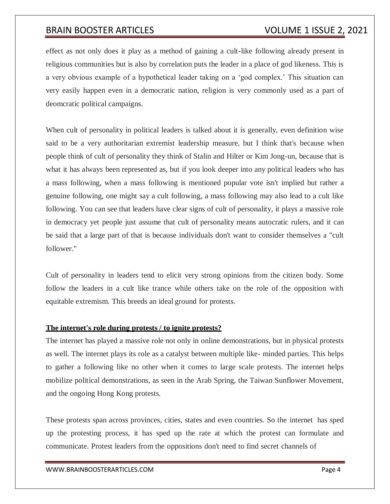effect as not only does it play as a method of gaining a cult-like following already present in religious communities but is also by correlation puts the leader in a place of god likeness. This is a very obvious example of a hypothetical leader taking on a 'god complex.' This situation can very easily happen even in a democratic nation, religion is very commonly used as a part of deomcratic political campaigns.

When cult of personality in political leaders is talked about it is generally, even definition wise said to be a very authoritarian extremist leadership measure, but I think that's because when people think of cult of personality they think of Stalin and Hilter or Kim Jong-un, because that is what it has always been represented as, but if you look deeper into any political leaders who has a mass following, when a mass following is mentioned popular vote isn't implied but rather a genuine following, one might say a cult following, a mass following may also lead to a cult like following. You can see that leaders have clear signs of cult of personality, it plays a massive role in democracy yet people just assume that cult of personality means autocratic rulers, and it can be said that a large part of that is because individuals don't want to consider themselves a "cult follower."

Cult of personality in leaders tend to elicit very strong opinions from the citizen body. Some follow the leaders in a cult like trance while others take on the role of the opposition with equitable extremism. This breeds an ideal ground for protests.

## **The internet's role during protests / to ignite protests?**

The internet has played a massive role not only in online demonstrations, but in physical protests as well. The internet plays its role as a catalyst between multiple like- minded parties. This helps to gather a following like no other when it comes to large scale protests. The internet helps mobilize political demonstrations, as seen in the Arab Spring, the Taiwan Sunflower Movement, and the ongoing Hong Kong protests.

These protests span across provinces, cities, states and even countries. So the internet has sped up the protesting process, it has sped up the rate at which the protest can formulate and communicate. Protest leaders from the oppositions don't need to find secret channels of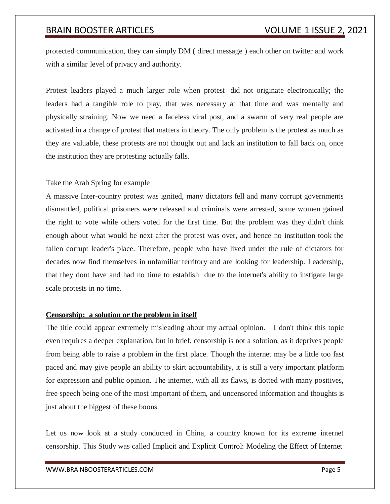protected communication, they can simply DM ( direct message ) each other on twitter and work with a similar level of privacy and authority.

Protest leaders played a much larger role when protest did not originate electronically; the leaders had a tangible role to play, that was necessary at that time and was mentally and physically straining. Now we need a faceless viral post, and a swarm of very real people are activated in a change of protest that matters in theory. The only problem is the protest as much as they are valuable, these protests are not thought out and lack an institution to fall back on, once the institution they are protesting actually falls.

## Take the Arab Spring for example

A massive Inter-country protest was ignited, many dictators fell and many corrupt governments dismantled, political prisoners were released and criminals were arrested, some women gained the right to vote while others voted for the first time. But the problem was they didn't think enough about what would be next after the protest was over, and hence no institution took the fallen corrupt leader's place. Therefore, people who have lived under the rule of dictators for decades now find themselves in unfamiliar territory and are looking for leadership. Leadership, that they dont have and had no time to establish due to the internet's ability to instigate large scale protests in no time.

## **Censorship: a solution or the problem in itself**

The title could appear extremely misleading about my actual opinion. I don't think this topic even requires a deeper explanation, but in brief, censorship is not a solution, as it deprives people from being able to raise a problem in the first place. Though the internet may be a little too fast paced and may give people an ability to skirt accountability, it is still a very important platform for expression and public opinion. The internet, with all its flaws, is dotted with many positives, free speech being one of the most important of them, and uncensored information and thoughts is just about the biggest of these boons.

Let us now look at a study conducted in China, a country known for its extreme internet censorship. This Study was called Implicit and Explicit Control: Modeling the Effect of Internet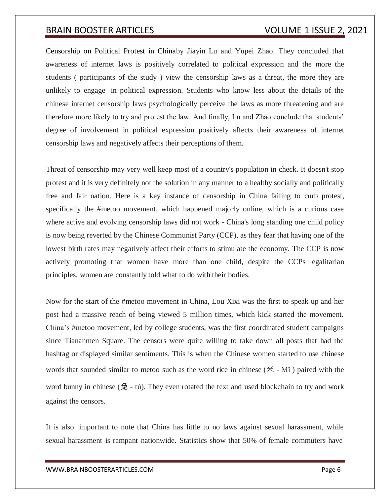Censorship on Political Protest in Chinaby Jiayin Lu and Yupei Zhao. They concluded that awareness of internet laws is positively correlated to political expression and the more the students ( participants of the study ) view the censorship laws as a threat, the more they are unlikely to engage in political expression. Students who know less about the details of the chinese internet censorship laws psychologically perceive the laws as more threatening and are therefore more likely to try and protest the law. And finally, Lu and Zhao conclude that students' degree of involvement in political expression positively affects their awareness of internet censorship laws and negatively affects their perceptions of them.

Threat of censorship may very well keep most of a country's population in check. It doesn't stop protest and it is very definitely not the solution in any manner to a healthy socially and politically free and fair nation. Here is a key instance of censorship in China failing to curb protest, specifically the #metoo movement, which happened majorly online, which is a curious case where active and evolving censorship laws did not work - China's long standing one child policy is now being reverted by the Chinese Communist Party (CCP), as they fear that having one of the lowest birth rates may negatively affect their efforts to stimulate the economy. The CCP is now actively promoting that women have more than one child, despite the CCPs egalitarian principles, women are constantly told what to do with their bodies.

Now for the start of the #metoo movement in China, Lou Xixi was the first to speak up and her post had a massive reach of being viewed 5 million times, which kick started the movement. China's #metoo movement, led by college students, was the first coordinated student campaigns since Tiananmen Square. The censors were quite willing to take down all posts that had the hashtag or displayed similar sentiments. This is when the Chinese women started to use chinese words that sounded similar to metoo such as the word rice in chinese  $(\mathcal{H} - M\mathbf{i})$  paired with the word bunny in chinese  $($ 兔 - tù). They even rotated the text and used blockchain to try and work against the censors.

It is also important to note that China has little to no laws against sexual harassment, while sexual harassment is rampant nationwide. Statistics show that 50% of female commuters have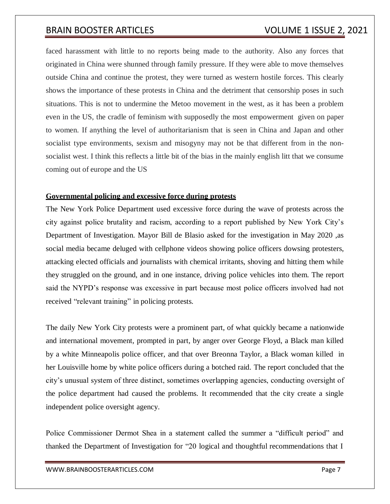faced harassment with little to no reports being made to the authority. Also any forces that originated in China were shunned through family pressure. If they were able to move themselves outside China and continue the protest, they were turned as western hostile forces. This clearly shows the importance of these protests in China and the detriment that censorship poses in such situations. This is not to undermine the Metoo movement in the west, as it has been a problem even in the US, the cradle of feminism with supposedly the most empowerment given on paper to women. If anything the level of authoritarianism that is seen in China and Japan and other socialist type environments, sexism and misogyny may not be that different from in the nonsocialist west. I think this reflects a little bit of the bias in the mainly english litt that we consume coming out of europe and the US

## **Governmental policing and excessive force during protests**

The New York Police Department used excessive force during the wave of protests across the city against police brutality and racism, according to a report published by New York City's Department of Investigation. Mayor Bill de Blasio asked for the investigation in May 2020 ,as social media became deluged with cellphone videos showing police officers dowsing protesters, attacking elected officials and journalists with chemical irritants, shoving and hitting them while they struggled on the ground, and in one instance, driving police vehicles into them. The report said the NYPD's response was excessive in part because most police officers involved had not received "relevant training" in policing protests.

The daily New York City protests were a prominent part, of what quickly became a nationwide and international movement, prompted in part, by anger over George Floyd, a Black man killed by a white Minneapolis police officer, and that over Breonna Taylor, a Black woman killed in her Louisville home by white police officers during a botched raid. The report concluded that the city's unusual system of three distinct, sometimes overlapping agencies, conducting oversight of the police department had caused the problems. It recommended that the city create a single independent police oversight agency.

Police Commissioner Dermot Shea in a statement called the summer a "difficult period" and thanked the Department of Investigation for "20 logical and thoughtful recommendations that I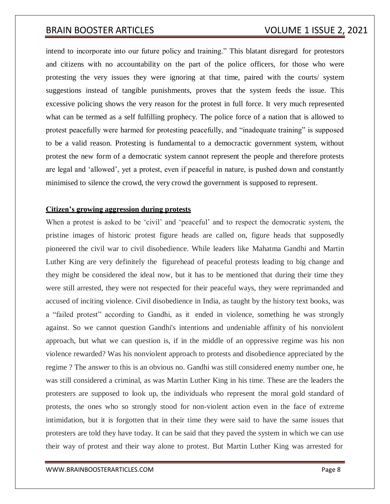intend to incorporate into our future policy and training." This blatant disregard for protestors and citizens with no accountability on the part of the police officers, for those who were protesting the very issues they were ignoring at that time, paired with the courts/ system suggestions instead of tangible punishments, proves that the system feeds the issue. This excessive policing shows the very reason for the protest in full force. It very much represented what can be termed as a self fulfilling prophecy. The police force of a nation that is allowed to protest peacefully were harmed for protesting peacefully, and "inadequate training" is supposed to be a valid reason. Protesting is fundamental to a democractic government system, without protest the new form of a democratic system cannot represent the people and therefore protests are legal and 'allowed', yet a protest, even if peaceful in nature, is pushed down and constantly minimised to silence the crowd, the very crowd the government is supposed to represent.

### **Citizen's growing aggression during protests**

When a protest is asked to be 'civil' and 'peaceful' and to respect the democratic system, the pristine images of historic protest figure heads are called on, figure heads that supposedly pioneered the civil war to civil disobedience. While leaders like Mahatma Gandhi and Martin Luther King are very definitely the figurehead of peaceful protests leading to big change and they might be considered the ideal now, but it has to be mentioned that during their time they were still arrested, they were not respected for their peaceful ways, they were reprimanded and accused of inciting violence. Civil disobedience in India, as taught by the history text books, was a "failed protest" according to Gandhi, as it ended in violence, something he was strongly against. So we cannot question Gandhi's intentions and undeniable affinity of his nonviolent approach, but what we can question is, if in the middle of an oppressive regime was his non violence rewarded? Was his nonviolent approach to protests and disobedience appreciated by the regime ? The answer to this is an obvious no. Gandhi was still considered enemy number one, he was still considered a criminal, as was Martin Luther King in his time. These are the leaders the protesters are supposed to look up, the individuals who represent the moral gold standard of protests, the ones who so strongly stood for non-violent action even in the face of extreme intimidation, but it is forgotten that in their time they were said to have the same issues that protesters are told they have today. It can be said that they paved the system in which we can use their way of protest and their way alone to protest. But Martin Luther King was arrested for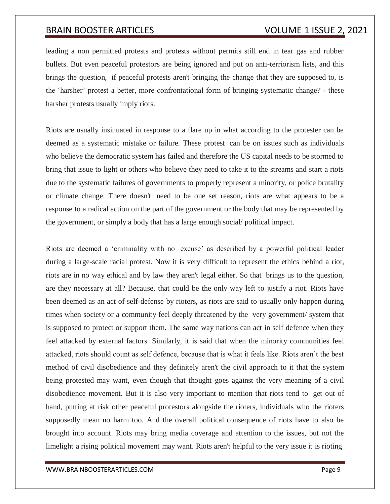leading a non permitted protests and protests without permits still end in tear gas and rubber bullets. But even peaceful protestors are being ignored and put on anti-terriorism lists, and this brings the question, if peaceful protests aren't bringing the change that they are supposed to, is the 'harsher' protest a better, more confrontational form of bringing systematic change? - these harsher protests usually imply riots.

Riots are usually insinuated in response to a flare up in what according to the protester can be deemed as a systematic mistake or failure. These protest can be on issues such as individuals who believe the democratic system has failed and therefore the US capital needs to be stormed to bring that issue to light or others who believe they need to take it to the streams and start a riots due to the systematic failures of governments to properly represent a minority, or police brutality or climate change. There doesn't need to be one set reason, riots are what appears to be a response to a radical action on the part of the government or the body that may be represented by the government, or simply a body that has a large enough social/ political impact.

Riots are deemed a 'criminality with no excuse' as described by a powerful political leader during a large-scale racial protest. Now it is very difficult to represent the ethics behind a riot, riots are in no way ethical and by law they aren't legal either. So that brings us to the question, are they necessary at all? Because, that could be the only way left to justify a riot. Riots have been deemed as an act of self-defense by rioters, as riots are said to usually only happen during times when society or a community feel deeply threatened by the very government/ system that is supposed to protect or support them. The same way nations can act in self defence when they feel attacked by external factors. Similarly, it is said that when the minority communities feel attacked, riots should count as self defence, because that is what it feels like. Riots aren't the best method of civil disobedience and they definitely aren't the civil approach to it that the system being protested may want, even though that thought goes against the very meaning of a civil disobedience movement. But it is also very important to mention that riots tend to get out of hand, putting at risk other peaceful protestors alongside the rioters, individuals who the rioters supposedly mean no harm too. And the overall political consequence of riots have to also be brought into account. Riots may bring media coverage and attention to the issues, but not the limelight a rising political movement may want. Riots aren't helpful to the very issue it is rioting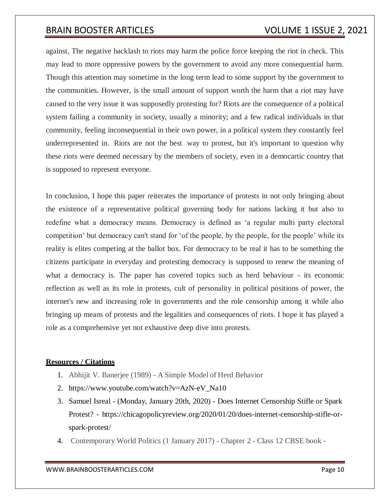against, The negative backlash to riots may harm the police force keeping the riot in check. This may lead to more oppressive powers by the government to avoid any more consequential harm. Though this attention may sometime in the long term lead to some support by the government to the communities. However, is the small amount of support worth the harm that a riot may have caused to the very issue it was supposedly protesting for? Riots are the consequence of a political system failing a community in society, usually a minority; and a few radical individuals in that community, feeling inconsequential in their own power, in a political system they constantly feel underrepresented in. Riots are not the best way to protest, but it's important to question why these riots were deemed necessary by the members of society, even in a democartic country that is supposed to represent everyone.

In conclusion, I hope this paper reiterates the importance of protests in not only bringing about the existence of a representative political governing body for nations lacking it but also to redefine what a democracy means. Democracy is defined as 'a regular multi party electoral competition' but democracy can't stand for 'of the people, by the people, for the people' while its reality is elites competing at the ballot box. For democracy to be real it has to be something the citizens participate in everyday and protesting democracy is supposed to renew the meaning of what a democracy is. The paper has covered topics such as herd behaviour - its economic reflection as well as its role in protests, cult of personality in political positions of power, the internet's new and increasing role in governments and the role censorship among it while also bringing up means of protests and the legalities and consequences of riots. I hope it has played a role as a comprehensive yet not exhaustive deep dive into protests.

## **Resources / Citations**

- 1. Abhijit V. Banerjee (1989) A Simple Model of Herd Behavior
- 2. https:[//www.youtube.com/watch?v=AzN-eV\\_Na10](http://www.youtube.com/watch?v=AzN-eV_Na10)
- 3. Samuel Isreal (Monday, January 20th, 2020) Does Internet Censorship Stifle or Spark Protest? - https://chicagopolicyreview.org/2020/01/20/does-internet-censorship-stifle-orspark-protest/
- 4. Contemporary World Politics (1 January 2017) Chapter 2 Class 12 CBSE book -